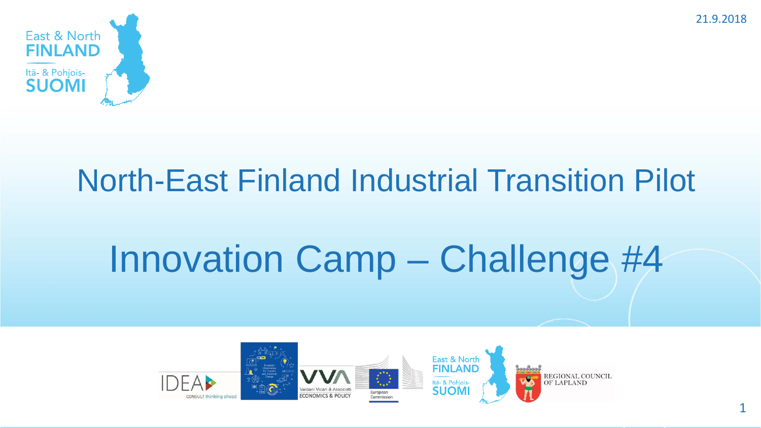

# North-East Finland Industrial Transition Pilot

# Innovation Camp – Challenge #4



1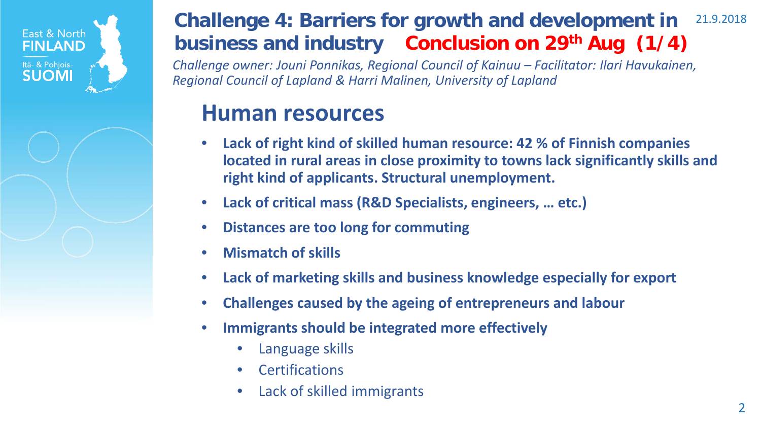

#### 21.9.2018 **Challenge 4: Barriers for growth and development in business and industry Conclusion on 29th Aug (1/4)**

*Challenge owner: Jouni Ponnikas, Regional Council of Kainuu – Facilitator: Ilari Havukainen, Regional Council of Lapland & Harri Malinen, University of Lapland*

### **Human resources**

- **Lack of right kind of skilled human resource: 42 % of Finnish companies located in rural areas in close proximity to towns lack significantly skills and right kind of applicants. Structural unemployment.**
- **Lack of critical mass (R&D Specialists, engineers, … etc.)**
- **Distances are too long for commuting**
- **Mismatch of skills**
- **Lack of marketing skills and business knowledge especially for export**
- **Challenges caused by the ageing of entrepreneurs and labour**
- **Immigrants should be integrated more effectively**
	- Language skills
	- **Certifications**
	- Lack of skilled immigrants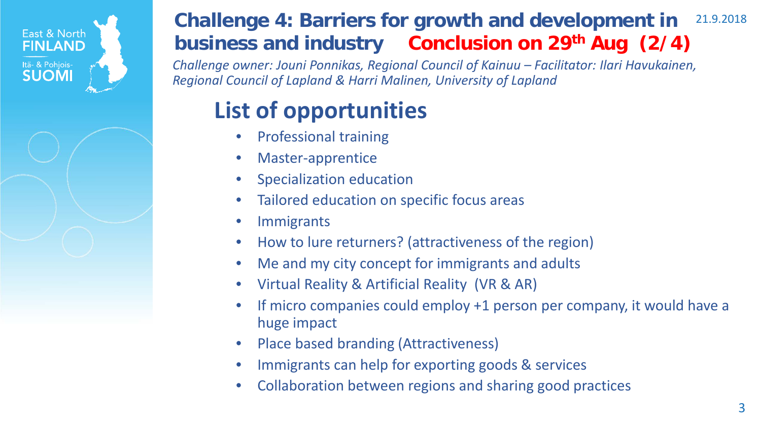

#### 21.9.2018 **Challenge 4: Barriers for growth and development in business and industry Conclusion on 29th Aug (2/4)**

*Challenge owner: Jouni Ponnikas, Regional Council of Kainuu – Facilitator: Ilari Havukainen, Regional Council of Lapland & Harri Malinen, University of Lapland*

# **List of opportunities**

- Professional training
- Master-apprentice
- Specialization education
- Tailored education on specific focus areas
- Immigrants
- How to lure returners? (attractiveness of the region)
- Me and my city concept for immigrants and adults
- Virtual Reality & Artificial Reality (VR & AR)
- If micro companies could employ +1 person per company, it would have a huge impact
- Place based branding (Attractiveness)
- Immigrants can help for exporting goods & services
- Collaboration between regions and sharing good practices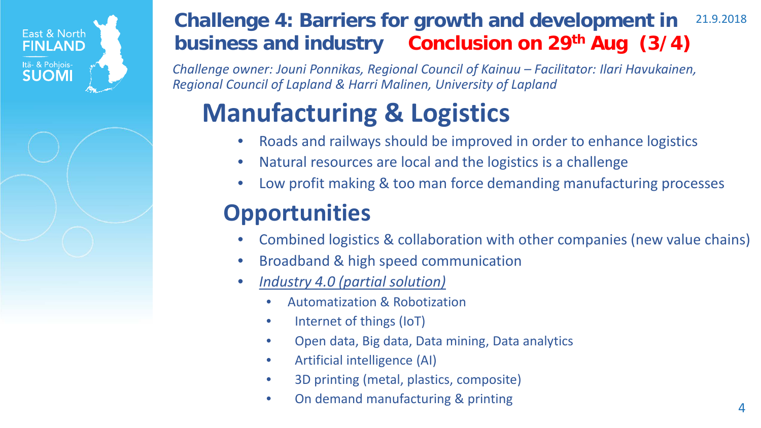

#### 21.9.2018 **Challenge 4: Barriers for growth and development in business and industry Conclusion on 29th Aug (3/4)**

*Challenge owner: Jouni Ponnikas, Regional Council of Kainuu – Facilitator: Ilari Havukainen, Regional Council of Lapland & Harri Malinen, University of Lapland*

# **Manufacturing & Logistics**

- Roads and railways should be improved in order to enhance logistics
- Natural resources are local and the logistics is a challenge
- Low profit making & too man force demanding manufacturing processes

## **Opportunities**

- Combined logistics & collaboration with other companies (new value chains)
- Broadband & high speed communication
- *Industry 4.0 (partial solution)*
	- Automatization & Robotization
	- Internet of things (IoT)
	- Open data, Big data, Data mining, Data analytics
	- Artificial intelligence (AI)
	- 3D printing (metal, plastics, composite)
	- On demand manufacturing & printing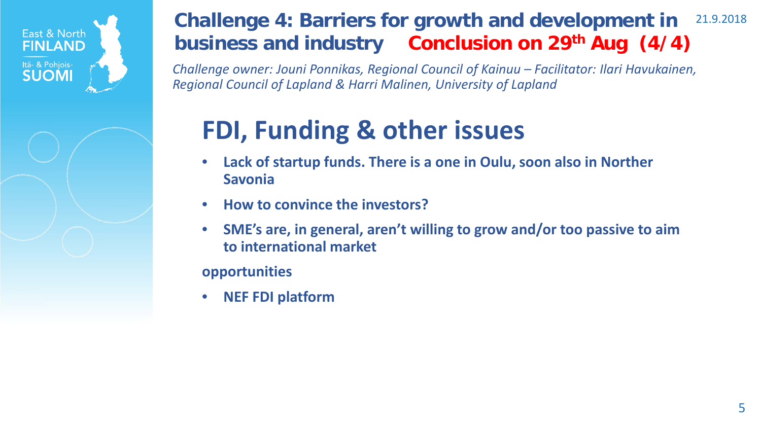

#### 21.9.2018 **Challenge 4: Barriers for growth and development in business and industry Conclusion on 29th Aug (4/4)**

*Challenge owner: Jouni Ponnikas, Regional Council of Kainuu – Facilitator: Ilari Havukainen, Regional Council of Lapland & Harri Malinen, University of Lapland*

# **FDI, Funding & other issues**

- **Lack of startup funds. There is a one in Oulu, soon also in Norther Savonia**
- **How to convince the investors?**
- **SME's are, in general, aren't willing to grow and/or too passive to aim to international market**

**opportunities**

• **NEF FDI platform**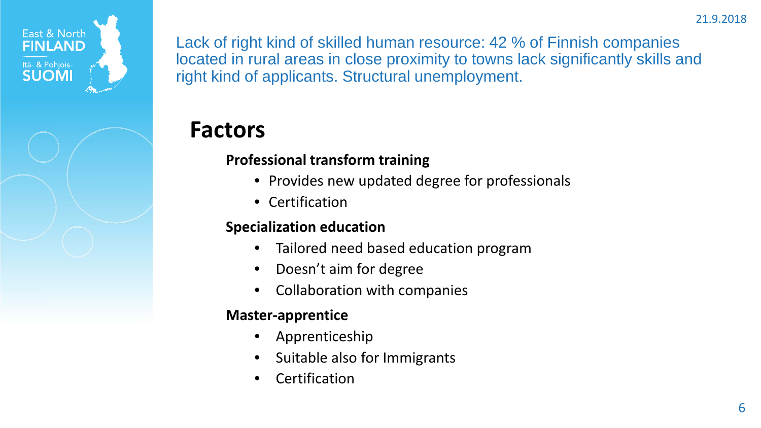

### **Factors**

#### **Professional transform training**

- Provides new updated degree for professionals
- Certification

#### **Specialization education**

- Tailored need based education program
- Doesn't aim for degree
- Collaboration with companies

#### **Master-apprentice**

- Apprenticeship
- Suitable also for Immigrants
- **Certification**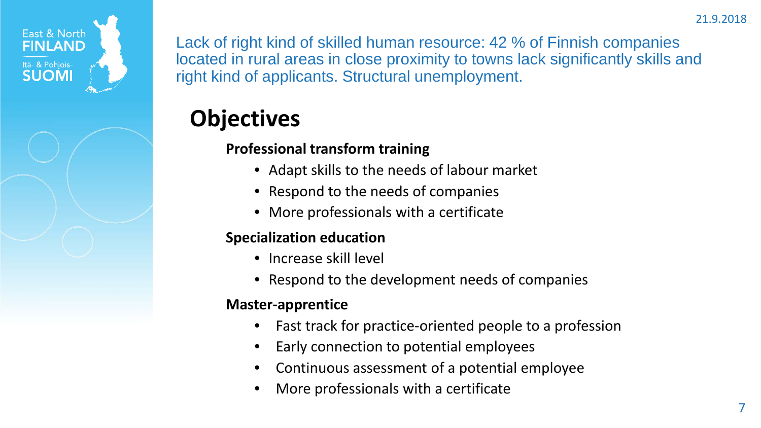

### **Objectives**

### **Professional transform training**

- Adapt skills to the needs of labour market
- Respond to the needs of companies
- More professionals with a certificate

#### **Specialization education**

- Increase skill level
- Respond to the development needs of companies

#### **Master-apprentice**

- Fast track for practice-oriented people to a profession
- Early connection to potential employees
- Continuous assessment of a potential employee
- More professionals with a certificate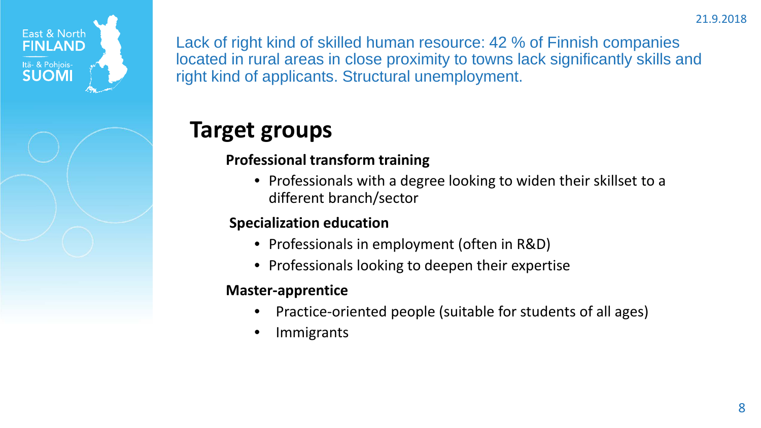

# **Target groups**

### **Professional transform training**

• Professionals with a degree looking to widen their skillset to a different branch/sector

### **Specialization education**

- Professionals in employment (often in R&D)
- Professionals looking to deepen their expertise

#### **Master-apprentice**

- Practice-oriented people (suitable for students of all ages)
- **Immigrants**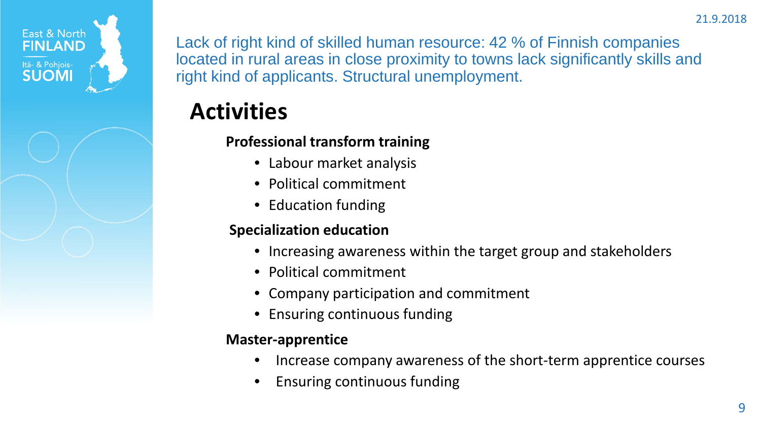

## **Activities**

### **Professional transform training**

- Labour market analysis
- Political commitment
- Education funding

### **Specialization education**

- Increasing awareness within the target group and stakeholders
- Political commitment
- Company participation and commitment
- Ensuring continuous funding

#### **Master-apprentice**

- Increase company awareness of the short-term apprentice courses
- Ensuring continuous funding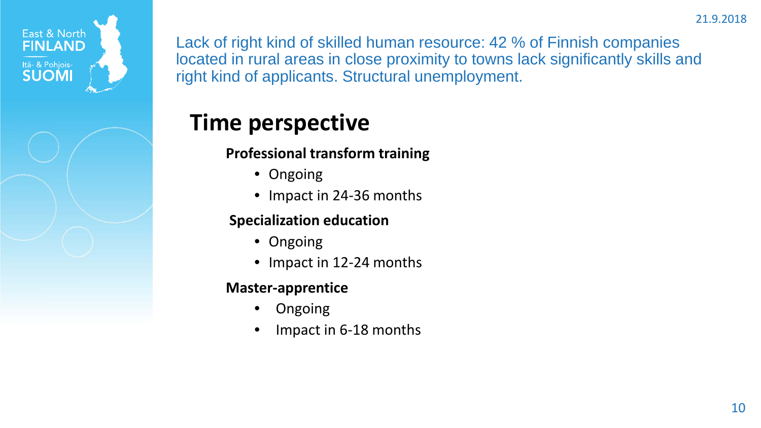

### **Time perspective**

**Professional transform training**

- Ongoing
- Impact in 24-36 months

#### **Specialization education**

- Ongoing
- Impact in 12-24 months

#### **Master-apprentice**

- Ongoing
- Impact in 6-18 months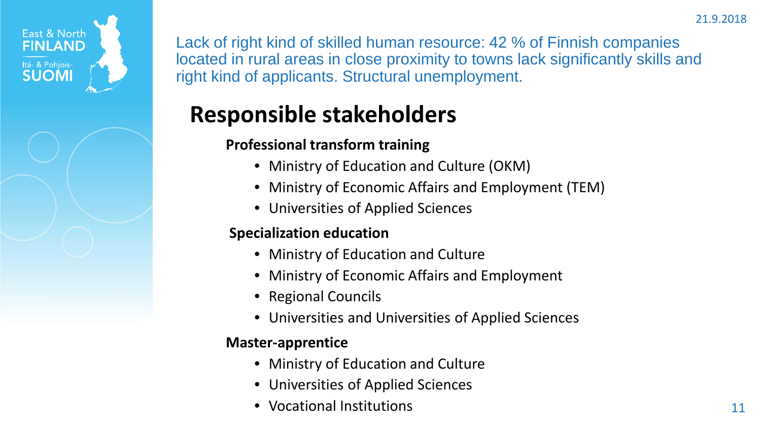

# **Responsible stakeholders**

### **Professional transform training**

- Ministry of Education and Culture (OKM)
- Ministry of Economic Affairs and Employment (TEM)
- Universities of Applied Sciences

### **Specialization education**

- Ministry of Education and Culture
- Ministry of Economic Affairs and Employment
- Regional Councils
- Universities and Universities of Applied Sciences

#### **Master-apprentice**

- Ministry of Education and Culture
- Universities of Applied Sciences
- Vocational Institutions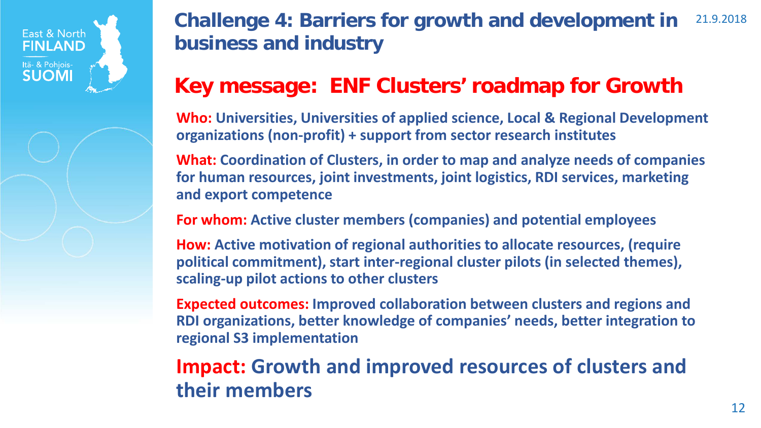

#### 21.9.2018 **Challenge 4: Barriers for growth and development in business and industry**

### **Key message: ENF Clusters' roadmap for Growth**

**Who: Universities, Universities of applied science, Local & Regional Development organizations (non-profit) + support from sector research institutes**

**What: Coordination of Clusters, in order to map and analyze needs of companies for human resources, joint investments, joint logistics, RDI services, marketing and export competence**

**For whom: Active cluster members (companies) and potential employees** 

**How: Active motivation of regional authorities to allocate resources, (require political commitment), start inter-regional cluster pilots (in selected themes), scaling-up pilot actions to other clusters**

**Expected outcomes: Improved collaboration between clusters and regions and RDI organizations, better knowledge of companies' needs, better integration to regional S3 implementation**

### **Impact: Growth and improved resources of clusters and their members**